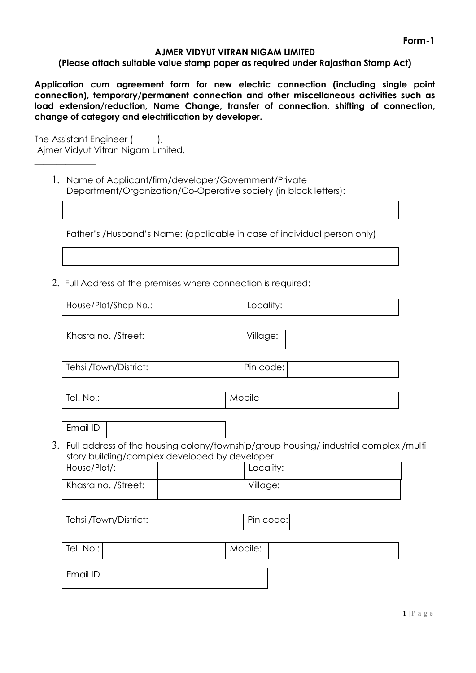#### **AJMER VIDYUT VITRAN NIGAM LIMITED**

#### **(Please attach suitable value stamp paper as required under Rajasthan Stamp Act)**

**Application cum agreement form for new electric connection (including single point connection), temporary/permanent connection and other miscellaneous activities such as load extension/reduction, Name Change, transfer of connection, shifting of connection, change of category and electrification by developer.**

The Assistant Engineer (), Ajmer Vidyut Vitran Nigam Limited,

 $\overline{\phantom{a}}$ 

1. Name of Applicant/firm/developer/Government/Private Department/Organization/Co-Operative society (in block letters):

Father's /Husband's Name: (applicable in case of individual person only)

2. Full Address of the premises where connection is required:

| House/Plot/Shop No.:                     | Locality: |  |
|------------------------------------------|-----------|--|
|                                          |           |  |
| $V_{\text{harra no}}$ $R_{\text{tra}}$ . | ۱٬۱۱٬۰۰۰٬ |  |

| Khasra no. /Street:   |  | Village:  |  |
|-----------------------|--|-----------|--|
| Tehsil/Town/District: |  | Pin code: |  |
| Tel. No.:             |  | Mobile    |  |

Email ID

3. Full address of the housing colony/township/group housing/ industrial complex /multi story building/complex developed by developer

| House/Plot/:        | Locality: |  |
|---------------------|-----------|--|
| Khasra no. /Street: | Village:  |  |

| Tehsil/Town/District: | Pin code: |  |
|-----------------------|-----------|--|
|                       |           |  |

| Tel. No.:       | Mobile: |  |
|-----------------|---------|--|
|                 |         |  |
| <b>Email ID</b> |         |  |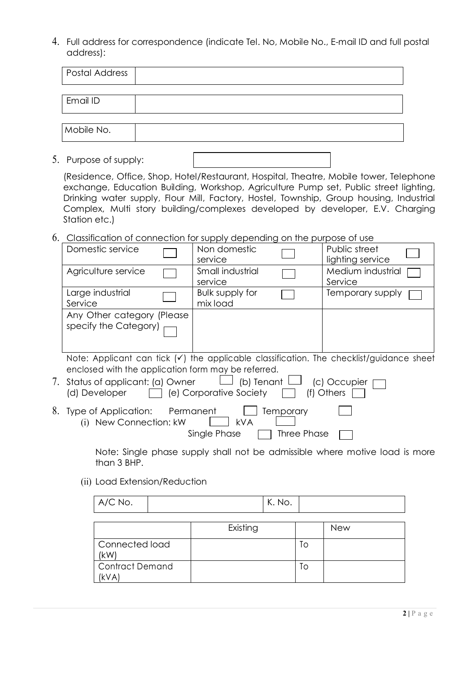4. Full address for correspondence (indicate Tel. No, Mobile No., E-mail ID and full postal address):

| Postal Address |  |
|----------------|--|
|                |  |
| Email ID       |  |
|                |  |
| Mobile No.     |  |
|                |  |

5. Purpose of supply:

(Residence, Office, Shop, Hotel/Restaurant, Hospital, Theatre, Mobile tower, Telephone exchange, Education Building, Workshop, Agriculture Pump set, Public street lighting, Drinking water supply, Flour Mill, Factory, Hostel, Township, Group housing, Industrial Complex, Multi story building/complexes developed by developer, E.V. Charging Station etc.)

6. Classification of connection for supply depending on the purpose of use

| Domestic service                                                                                                                                                                                                     | Non domestic<br>service                                                                                         |                                 | Public street<br>lighting service                   |  |
|----------------------------------------------------------------------------------------------------------------------------------------------------------------------------------------------------------------------|-----------------------------------------------------------------------------------------------------------------|---------------------------------|-----------------------------------------------------|--|
| Agriculture service                                                                                                                                                                                                  | Small industrial<br>service                                                                                     |                                 | Medium industrial<br>Service                        |  |
| Large industrial<br>Service                                                                                                                                                                                          | Bulk supply for<br>mix load                                                                                     |                                 | Temporary supply                                    |  |
| Any Other category (Please<br>specify the Category)                                                                                                                                                                  |                                                                                                                 |                                 |                                                     |  |
| Note: Applicant can tick $(v)$ the applicable classification. The checklist/guidance sheet<br>enclosed with the application form may be referred.<br>7. Status of applicant: (a) Owner $\quad \Box$<br>(d) Developer | $\Box$ (e) Corporative Society                                                                                  |                                 | (b) Tenant $\Box$ (c) Occupier $\Box$<br>(f) Others |  |
| 8. Type of Application: Permanent<br>New Connection: kW<br>(1)                                                                                                                                                       | <b>kVA</b><br>Single Phase                                                                                      | <b>Temporary</b><br>Three Phase |                                                     |  |
|                                                                                                                                                                                                                      | the contract of the contract of the contract of the contract of the contract of the contract of the contract of |                                 |                                                     |  |

Note: Single phase supply shall not be admissible where motive load is more than 3 BHP.

(ii) Load Extension/Reduction

| A/C No.                        |          | K. No. |    |            |
|--------------------------------|----------|--------|----|------------|
|                                | Existing |        |    | <b>New</b> |
| Connected load<br>(kW)         |          |        | To |            |
| <b>Contract Demand</b><br>kVA) |          |        | Tо |            |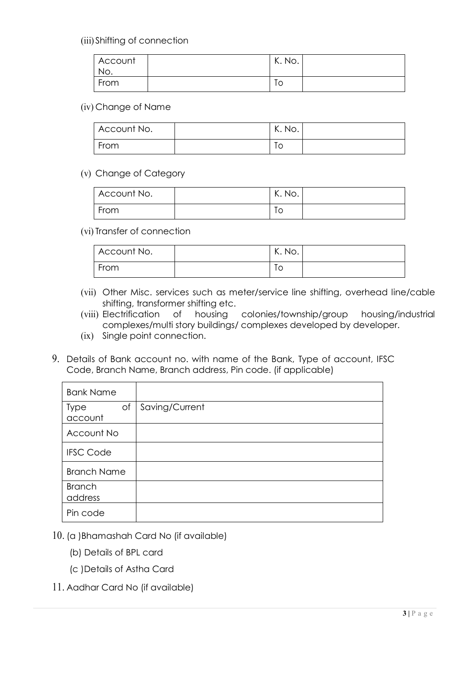(iii) Shifting of connection

| Account<br>No. | K. No.   |  |
|----------------|----------|--|
| From           | ہ،<br>טו |  |

#### (iv) Change of Name

| Account No. | K. No. |  |
|-------------|--------|--|
| From        | ∣∪     |  |

### (v) Change of Category

| Account No. | K. No. |  |
|-------------|--------|--|
| From        | ТC     |  |

(vi) Transfer of connection

| Account No. | び<br>K. No. |  |
|-------------|-------------|--|
| From        | I C         |  |

- (vii) Other Misc. services such as meter/service line shifting, overhead line/cable shifting, transformer shifting etc.
- (viii) Electrification of housing colonies/township/group housing/industrial complexes/multi story buildings/ complexes developed by developer.
- (ix) Single point connection.
- 9. Details of Bank account no. with name of the Bank, Type of account, IFSC Code, Branch Name, Branch address, Pin code. (if applicable)

| <b>Bank Name</b>         |    |                |
|--------------------------|----|----------------|
| Type<br>account          | of | Saving/Current |
| Account No               |    |                |
| <b>IFSC Code</b>         |    |                |
| <b>Branch Name</b>       |    |                |
| <b>Branch</b><br>address |    |                |
| Pin code                 |    |                |

- 10. (a )Bhamashah Card No (if available)
	- (b) Details of BPL card
	- (c )Details of Astha Card
- 11. Aadhar Card No (if available)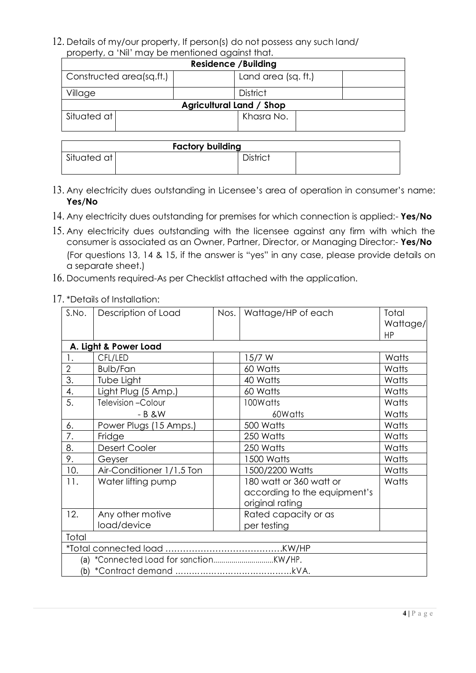12. Details of my/our property, If person(s) do not possess any such land/ property, a 'Nil' may be mentioned against that.

| proporty, a thin may be mormoned against man. |                     |  |  |  |
|-----------------------------------------------|---------------------|--|--|--|
| <b>Residence / Building</b>                   |                     |  |  |  |
| $\mid$ Constructed area(sq.ft.)               | Land area (sq. ft.) |  |  |  |
| Village                                       | <b>District</b>     |  |  |  |
| <b>Agricultural Land / Shop</b>               |                     |  |  |  |
| Situated at                                   | Khasra No.          |  |  |  |

| <b>Factory building</b> |  |                 |  |
|-------------------------|--|-----------------|--|
| Situated at             |  | <b>District</b> |  |
|                         |  |                 |  |

- 13. Any electricity dues outstanding in Licensee's area of operation in consumer's name: **Yes/No**
- 14. Any electricity dues outstanding for premises for which connection is applied:- **Yes/No**
- 15. Any electricity dues outstanding with the licensee against any firm with which the consumer is associated as an Owner, Partner, Director, or Managing Director:- **Yes/No** (For questions 13, 14 & 15, if the answer is "yes" in any case, please provide details on a separate sheet.)
- 16. Documents required-As per Checklist attached with the application.

### 17. \*Details of Installation:

| S.No.          | Description of Load       | Nos. | Wattage/HP of each           | Total                 |  |
|----------------|---------------------------|------|------------------------------|-----------------------|--|
|                |                           |      |                              | Wattage/<br><b>HP</b> |  |
|                | A. Light & Power Load     |      |                              |                       |  |
| 1.             | CFL/LED                   |      | 15/7 W                       | Watts                 |  |
| $\overline{2}$ | Bulb/Fan                  |      | 60 Watts                     | Watts                 |  |
| 3.             | Tube Light                |      | 40 Watts                     | Watts                 |  |
| 4.             | Light Plug (5 Amp.)       |      | 60 Watts                     | Watts                 |  |
| 5.             | Television - Colour       |      | 100Watts                     | Watts                 |  |
|                | $-B$ &W                   |      | 60Watts                      | Watts                 |  |
| 6.             | Power Plugs (15 Amps.)    |      | 500 Watts                    | Watts                 |  |
| 7.             | Fridge                    |      | 250 Watts                    | Watts                 |  |
| 8.             | <b>Desert Cooler</b>      |      | 250 Watts                    | Watts                 |  |
| 9.             | Geyser                    |      | 1500 Watts                   | Watts                 |  |
| 10.            | Air-Conditioner 1/1.5 Ton |      | 1500/2200 Watts              | Watts                 |  |
| 11.            | Water lifting pump        |      | 180 watt or 360 watt or      | Watts                 |  |
|                |                           |      | according to the equipment's |                       |  |
|                |                           |      | original rating              |                       |  |
| 12.            | Any other motive          |      | Rated capacity or as         |                       |  |
|                | load/device               |      | per testing                  |                       |  |
| Total          |                           |      |                              |                       |  |
|                |                           |      |                              |                       |  |
|                |                           |      |                              |                       |  |
| (b)            |                           |      |                              |                       |  |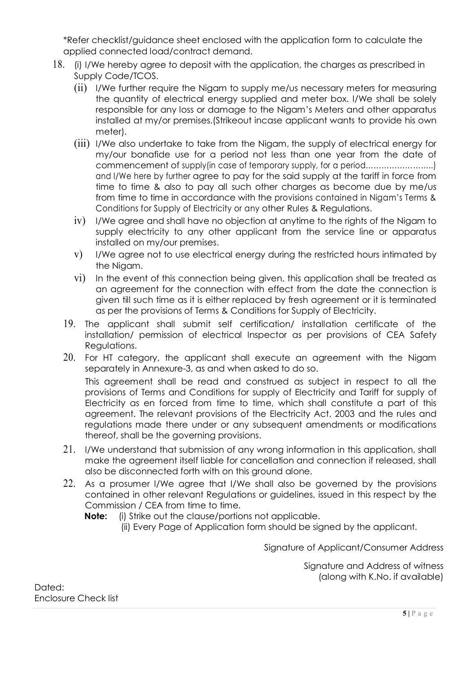\*Refer checklist/guidance sheet enclosed with the application form to calculate the applied connected load/contract demand.

- 18. (i) I/We hereby agree to deposit with the application, the charges as prescribed in Supply Code/TCOS.
	- (ii) I/We further require the Nigam to supply me/us necessary meters for measuring the quantity of electrical energy supplied and meter box. I/We shall be solely responsible for any loss or damage to the Nigam's Meters and other apparatus installed at my/or premises.(Strikeout incase applicant wants to provide his own meter).
	- (iii) I/We also undertake to take from the Nigam, the supply of electrical energy for my/our bonafide use for a period not less than one year from the date of commencement of supply(in case of temporary supply, for a period……………………..) and I/We here by further agree to pay for the said supply at the tariff in force from time to time & also to pay all such other charges as become due by me/us from time to time in accordance with the provisions contained in Nigam's Terms & Conditions for Supply of Electricity or any other Rules & Regulations.
	- iv) I/We agree and shall have no objection at anytime to the rights of the Nigam to supply electricity to any other applicant from the service line or apparatus installed on my/our premises.
	- v) I/We agree not to use electrical energy during the restricted hours intimated by the Nigam.
	- vi) In the event of this connection being given, this application shall be treated as an agreement for the connection with effect from the date the connection is given till such time as it is either replaced by fresh agreement or it is terminated as per the provisions of Terms & Conditions for Supply of Electricity.
	- 19. The applicant shall submit self certification/ installation certificate of the installation/ permission of electrical Inspector as per provisions of CEA Safety Regulations.
	- 20. For HT category, the applicant shall execute an agreement with the Nigam separately in Annexure-3, as and when asked to do so. This agreement shall be read and construed as subject in respect to all the provisions of Terms and Conditions for supply of Electricity and Tariff for supply of Electricity as en forced from time to time, which shall constitute a part of this agreement. The relevant provisions of the Electricity Act, 2003 and the rules and regulations made there under or any subsequent amendments or modifications thereof, shall be the governing provisions.
	- 21. I/We understand that submission of any wrong information in this application, shall make the agreement itself liable for cancellation and connection if released, shall also be disconnected forth with on this ground alone.
	- 22. As a prosumer I/We agree that I/We shall also be governed by the provisions contained in other relevant Regulations or guidelines, issued in this respect by the Commission / CEA from time to time.

**Note:** (i) Strike out the clause/portions not applicable.

(ii) Every Page of Application form should be signed by the applicant.

Signature of Applicant/Consumer Address

Signature and Address of witness (along with K.No. if available)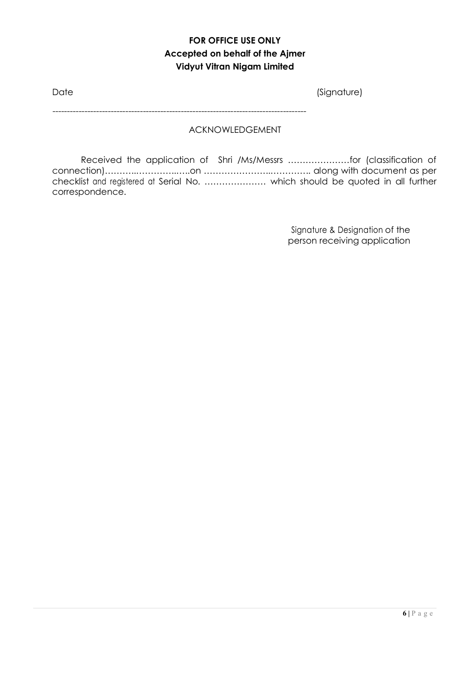# **FOR OFFICE USE ONLY Accepted on behalf of the Ajmer Vidyut Vitran Nigam Limited**

| Date | (Signature) |
|------|-------------|
|      |             |

ACKNOWLEDGEMENT

Received the application of Shri /Ms/Messrs …………………for (classification of connection)………..…………..…..on …………………..………….. along with document as per checklist and registered at Serial No. ………………… which should be quoted in all further correspondence.

---------------------------------------------------------------------------------------

Signature & Designation of the person receiving application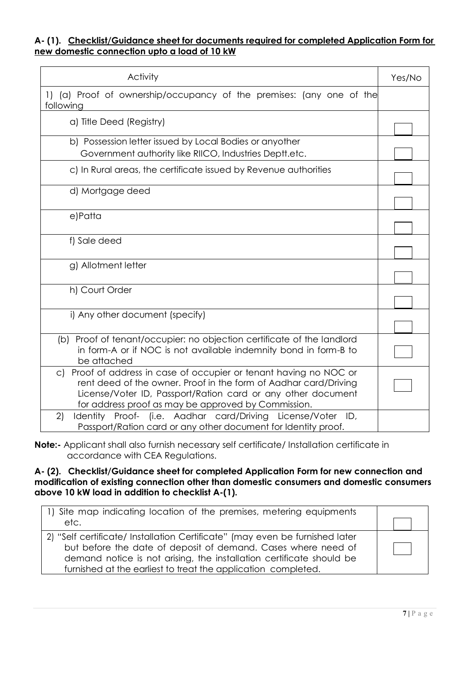## **A- (1). Checklist/Guidance sheet for documents required for completed Application Form for new domestic connection upto a load of 10 kW**

| Activity                                                                                                                                                                                                                                                                | Yes/No |
|-------------------------------------------------------------------------------------------------------------------------------------------------------------------------------------------------------------------------------------------------------------------------|--------|
| 1) (a) Proof of ownership/occupancy of the premises: (any one of the<br>following                                                                                                                                                                                       |        |
| a) Title Deed (Registry)                                                                                                                                                                                                                                                |        |
| b) Possession letter issued by Local Bodies or anyother<br>Government authority like RIICO, Industries Deptt.etc.                                                                                                                                                       |        |
| c) In Rural areas, the certificate issued by Revenue authorities                                                                                                                                                                                                        |        |
| d) Mortgage deed                                                                                                                                                                                                                                                        |        |
| e)Patta                                                                                                                                                                                                                                                                 |        |
| f) Sale deed                                                                                                                                                                                                                                                            |        |
| g) Allotment letter                                                                                                                                                                                                                                                     |        |
| h) Court Order                                                                                                                                                                                                                                                          |        |
| i) Any other document (specify)                                                                                                                                                                                                                                         |        |
| (b) Proof of tenant/occupier: no objection certificate of the landlord<br>in form-A or if NOC is not available indemnity bond in form-B to<br>be attached                                                                                                               |        |
| Proof of address in case of occupier or tenant having no NOC or<br>$\circ$ )<br>rent deed of the owner. Proof in the form of Aadhar card/Driving<br>License/Voter ID, Passport/Ration card or any other document<br>for address proof as may be approved by Commission. |        |
| Identity Proof- (i.e. Aadhar card/Driving License/Voter ID,<br>2)<br>Passport/Ration card or any other document for Identity proof.                                                                                                                                     |        |

**Note:-** Applicant shall also furnish necessary self certificate/ Installation certificate in accordance with CEA Regulations.

#### **A- (2). Checklist/Guidance sheet for completed Application Form for new connection and modification of existing connection other than domestic consumers and domestic consumers above 10 kW load in addition to checklist A-(1).**

| 1) Site map indicating location of the premises, metering equipments<br>etc.                                                                                                                                                                                                           |  |
|----------------------------------------------------------------------------------------------------------------------------------------------------------------------------------------------------------------------------------------------------------------------------------------|--|
| 2) "Self certificate/ Installation Certificate" (may even be furnished later<br>but before the date of deposit of demand. Cases where need of<br>demand notice is not arising, the installation certificate should be<br>furnished at the earliest to treat the application completed. |  |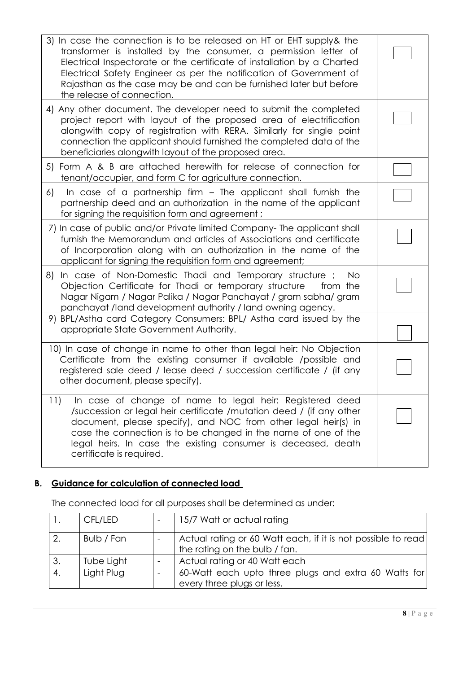| 3) In case the connection is to be released on HT or EHT supply& the<br>transformer is installed by the consumer, a permission letter of<br>Electrical Inspectorate or the certificate of installation by a Charted<br>Electrical Safety Engineer as per the notification of Government of<br>Rajasthan as the case may be and can be furnished later but before<br>the release of connection. |  |
|------------------------------------------------------------------------------------------------------------------------------------------------------------------------------------------------------------------------------------------------------------------------------------------------------------------------------------------------------------------------------------------------|--|
| 4) Any other document. The developer need to submit the completed<br>project report with layout of the proposed area of electrification<br>alongwith copy of registration with RERA. Similarly for single point<br>connection the applicant should furnished the completed data of the<br>beneficiaries alongwith layout of the proposed area.                                                 |  |
| 5) Form A & B are attached herewith for release of connection for<br>tenant/occupier, and form C for agriculture connection.                                                                                                                                                                                                                                                                   |  |
| In case of a partnership firm - The applicant shall furnish the<br>6)<br>partnership deed and an authorization in the name of the applicant<br>for signing the requisition form and agreement;                                                                                                                                                                                                 |  |
| 7) In case of public and/or Private limited Company- The applicant shall<br>furnish the Memorandum and articles of Associations and certificate<br>of Incorporation along with an authorization in the name of the<br>applicant for signing the requisition form and agreement;                                                                                                                |  |
| In case of Non-Domestic Thadi and Temporary structure;<br>8)<br>No.<br>Objection Certificate for Thadi or temporary structure<br>from the<br>Nagar Nigam / Nagar Palika / Nagar Panchayat / gram sabha/ gram<br>panchayat /land development authority / land owning agency.                                                                                                                    |  |
| 9) BPL/Astha card Category Consumers: BPL/ Astha card issued by the<br>appropriate State Government Authority.                                                                                                                                                                                                                                                                                 |  |
| 10) In case of change in name to other than legal heir: No Objection<br>Certificate from the existing consumer if available /possible and<br>registered sale deed / lease deed / succession certificate / (if any<br>other document, please specify).                                                                                                                                          |  |
| In case of change of name to legal heir: Registered deed<br>11)<br>/succession or legal heir certificate /mutation deed / (if any other<br>document, please specify), and NOC from other legal heir(s) in<br>case the connection is to be changed in the name of one of the<br>legal heirs. In case the existing consumer is deceased, death<br>certificate is required.                       |  |

# **B. Guidance for calculation of connected load**

|    | CFL/LED    | 15/7 Watt or actual rating                                                                    |
|----|------------|-----------------------------------------------------------------------------------------------|
| 2. | Bulb / Fan | Actual rating or 60 Watt each, if it is not possible to read<br>the rating on the bulb / fan. |
| 3. | Tube Light | Actual rating or 40 Watt each                                                                 |
| 4. | Light Plug | 60-Watt each upto three plugs and extra 60 Watts for<br>every three plugs or less.            |

The connected load for all purposes shall be determined as under: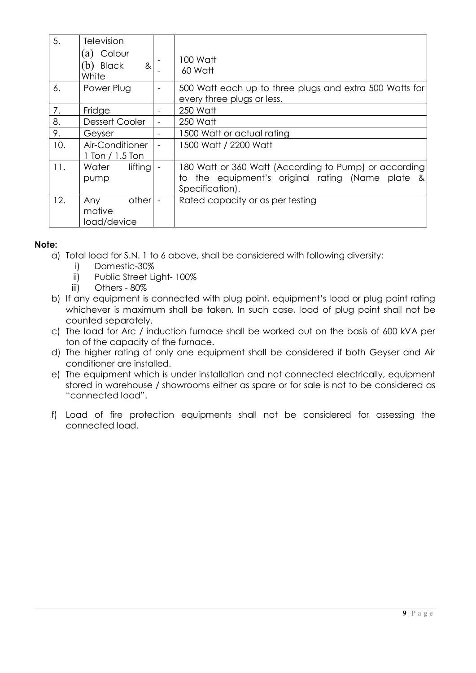| 5.  | Television<br>(a) Colour<br>(b) Black<br>8 <sub>l</sub><br>White |                          | 100 Watt<br>60 Watt                                                                                                              |
|-----|------------------------------------------------------------------|--------------------------|----------------------------------------------------------------------------------------------------------------------------------|
| 6.  | Power Plug                                                       |                          | 500 Watt each up to three plugs and extra 500 Watts for<br>every three plugs or less.                                            |
| 7.  | Fridge                                                           |                          | 250 Watt                                                                                                                         |
| 8.  | <b>Dessert Cooler</b>                                            |                          | 250 Watt                                                                                                                         |
| 9.  | Geyser                                                           |                          | 1500 Watt or actual rating                                                                                                       |
| 10. | Air-Conditioner<br>$1$ Ton $/ 1.5$ Ton                           |                          | 1500 Watt / 2200 Watt                                                                                                            |
| 11. | lifting<br>Water<br>pump                                         |                          | 180 Watt or 360 Watt (According to Pump) or according<br>to the equipment's original rating (Name plate<br>-&<br>Specification). |
| 12. | other<br>Any<br>motive<br>load/device                            | $\overline{\phantom{a}}$ | Rated capacity or as per testing                                                                                                 |

## **Note:**

- a) Total load for S.N. 1 to 6 above, shall be considered with following diversity:
	- i) Domestic-30%
	- ii) Public Street Light- 100%
	- iii) Others 80%
- b) If any equipment is connected with plug point, equipment's load or plug point rating whichever is maximum shall be taken. In such case, load of plug point shall not be counted separately.
- c) The load for Arc / induction furnace shall be worked out on the basis of 600 kVA per ton of the capacity of the furnace.
- d) The higher rating of only one equipment shall be considered if both Geyser and Air conditioner are installed.
- e) The equipment which is under installation and not connected electrically, equipment stored in warehouse / showrooms either as spare or for sale is not to be considered as "connected load".
- f) Load of fire protection equipments shall not be considered for assessing the connected load.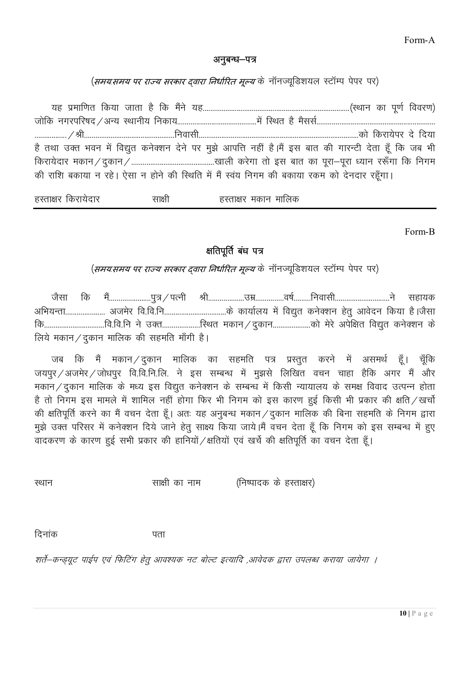Form-A

## अनुबन्ध–पत्र

(*समय:समय पर राज्य सरकार द्वारा निर्धारित मूल्य* के नॉनज्यूडिशयल स्टॉम्प पेपर पर)

;g i zekf.kr fd;k tkrk gS fd eSaus ;g------------------------------------------------------------------------------¼LFkku dk iw.kZ fooj.k½ tksfd uxjifj"kn@vU; LFkkuh; fudk;------------------------------------------esa fLFkr gS eSllZ--------------------------------------------------------------- -----------------@Jh------------------------------------------------fuoklh-------------------------------------------------------------------------------------dks fdjk;sij ns fn;k है तथा उक्त भवन में विद्युत कनेक्शन देने पर मुझे आपत्ति नहीं है।मैं इस बात की गारन्टी देता हूँ कि जब भी fdjk;snkj edku@nqdku@--------------------------------------------[kkyh djsxk rks bl ckr dk iwjk&iwjk /;ku j:¡xk fd fuxe की राशि बकाया न रहे। ऐसा न होने की स्थिति में मैं स्वंय निगम की बकाया रकम को देनदार रहूँगा।

हस्ताक्षर किरायेदार साक्षी हस्ताक्षर मकान मालिक

Form-B

# क्षतिपूर्ति बंध पत्र

(*समय:समय पर राज्य सरकार द्वारा निर्धारित मूल्य* के नॉनज्यूडिशयल स्टॉम्प पेपर पर)

tSlk fd eSa----------------------iq=@iRuh Jh-------------------mez---------------o"kZ---------fuoklh-----------------------------us lgk;d vfHk;Urk--------------------- vtesj fo-fo-fu---------------------------------ds dk;kZy; esa fo|qr du sD'ku gsrq vkosnu fd;k g SAtSlk fd--------------------------------fo-fo-fu us mDr--------------------fLFkr edku@nqdku--------------------dks esjs visf{kr fo|qr du sD'ku d s लिये मकान / दुकान मालिक की सहमति माँगी है।

जब कि मैं मकान $\angle$ दुकान मालिक का सहमति पत्र प्रस्तुत करने में असमर्थ हूँ। चूँकि जयपुर/अजमेर/जोधपुर वि.वि.नि.लि. ने इस सम्बन्ध में मुझसे लिखित वचन चाहा हैकि अगर मैं और मकान / दुकान मालिक के मध्य इस विद्युत कनेक्शन के सम्बन्ध में किसी न्यायालय के समक्ष विवाद उत्पन्न होता है तो निगम इस मामले में शामिल नहीं होगा फिर भी निगम को इस कारण हुई किसी भी प्रकार की क्षति / खर्चो की क्षतिपूर्ति करने का मैं वचन देता हूँ। अतः यह अनुबन्ध मकान / दुकान मालिक की बिना सहमति के निगम द्वारा मुझे उक्त परिसर में कनेक्शन दिये जाने हेतु साक्ष्य किया जाये।मैं वचन देता हैं कि निगम को इस सम्बन्ध में हुए वादकरण के कारण हुई सभी प्रकार की हानियों /क्षतियों एवं खर्चे की क्षतिपूर्ति का वचन देता हूँ।

LFkku lk{kh dk uke ¼fu"iknd ds gLrk{kj½

दिनांक बाह्य पता

शर्ते–कन्ड्यूट पाईप एवं फिटिंग हेतु आवश्यक नट बोल्ट इत्यादि ,आवेदक द्वारा उपलब्ध कराया जायेगा ।